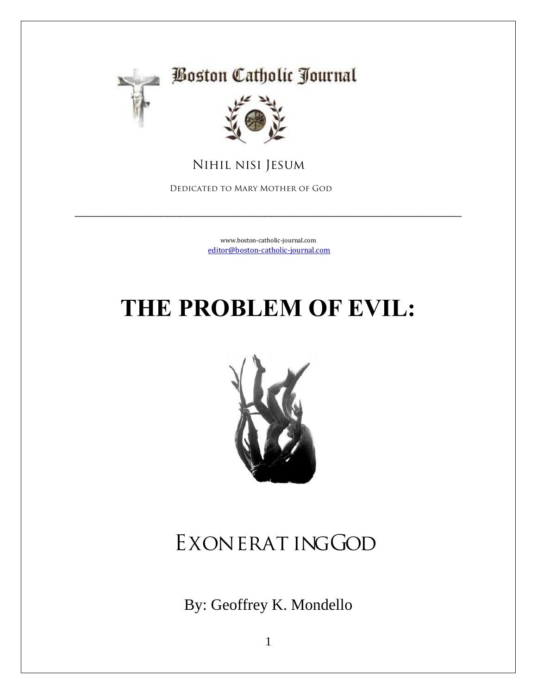

#### **Boston Catholic Journal**



 **Nihil nisi Jesum**

 **Dedicated to Mary Mother of God**

[www.boston-catholic-journal.com](http://www.boston-catholic-journal.com/) [editor@boston-catholic-journal.com](mailto:editor@boston-catholic-journal.com)

\_\_\_\_\_\_\_\_\_\_\_\_\_\_\_\_\_\_\_\_\_\_\_\_\_\_\_\_\_\_\_\_\_\_\_\_\_\_\_\_\_\_\_\_\_\_\_\_\_\_\_\_\_\_\_\_\_\_\_\_\_\_\_

## **THE PROBLEM OF EVIL:**



## **Exonerat ing God**

By: Geoffrey K. Mondello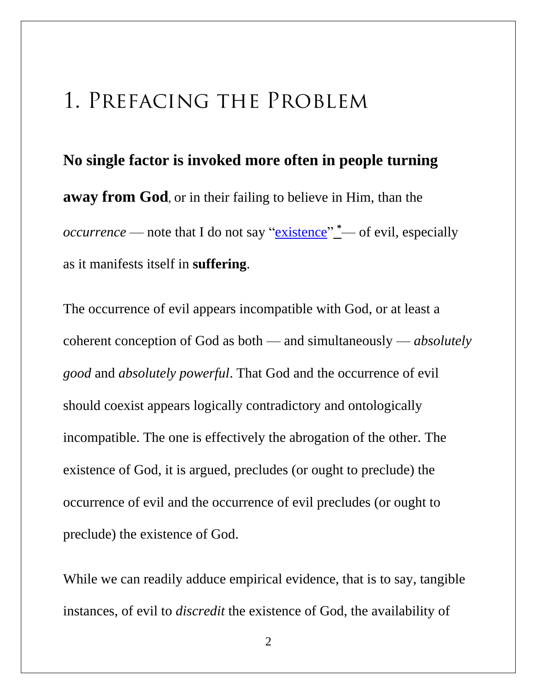### **1. Prefacing the Problem**

**No single factor is invoked more often in people turning away from God**, or in their failing to believe in Him, than the *occurrence* — note that I do not say ["existence"](http://www.boston-catholic-journal.com/the-problem-of-evil-exonerating-god.htm#Evil_is_not_substantival) **[\\*](http://www.boston-catholic-journal.com/the-problem-of-evil-exonerating-god.htm#Evil_is_not_substantiva)**— of evil, especially as it manifests itself in **suffering**.

The occurrence of evil appears incompatible with God, or at least a coherent conception of God as both — and simultaneously — *absolutely good* and *absolutely powerful*. That God and the occurrence of evil should coexist appears logically contradictory and ontologically incompatible. The one is effectively the abrogation of the other. The existence of God, it is argued, precludes (or ought to preclude) the occurrence of evil and the occurrence of evil precludes (or ought to preclude) the existence of God.

While we can readily adduce empirical evidence, that is to say, tangible instances, of evil to *discredit* the existence of God, the availability of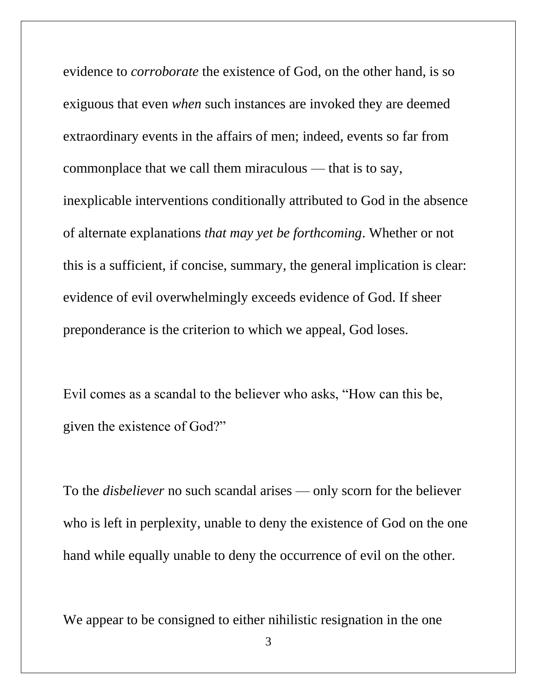evidence to *corroborate* the existence of God, on the other hand, is so exiguous that even *when* such instances are invoked they are deemed extraordinary events in the affairs of men; indeed, events so far from commonplace that we call them miraculous — that is to say, inexplicable interventions conditionally attributed to God in the absence of alternate explanations *that may yet be forthcoming*. Whether or not this is a sufficient, if concise, summary, the general implication is clear: evidence of evil overwhelmingly exceeds evidence of God. If sheer preponderance is the criterion to which we appeal, God loses.

Evil comes as a scandal to the believer who asks, "How can this be, given the existence of God?"

To the *disbeliever* no such scandal arises — only scorn for the believer who is left in perplexity, unable to deny the existence of God on the one hand while equally unable to deny the occurrence of evil on the other.

We appear to be consigned to either nihilistic resignation in the one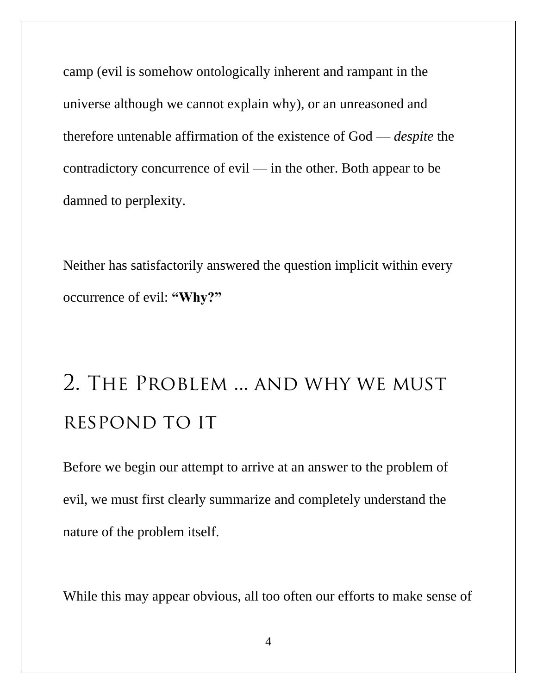camp (evil is somehow ontologically inherent and rampant in the universe although we cannot explain why), or an unreasoned and therefore untenable affirmation of the existence of God — *despite* the contradictory concurrence of evil — in the other. Both appear to be damned to perplexity.

Neither has satisfactorily answered the question implicit within every occurrence of evil: **"Why?"**

## **2. The Problem ... and why we must respond to it**

Before we begin our attempt to arrive at an answer to the problem of evil, we must first clearly summarize and completely understand the nature of the problem itself.

While this may appear obvious, all too often our efforts to make sense of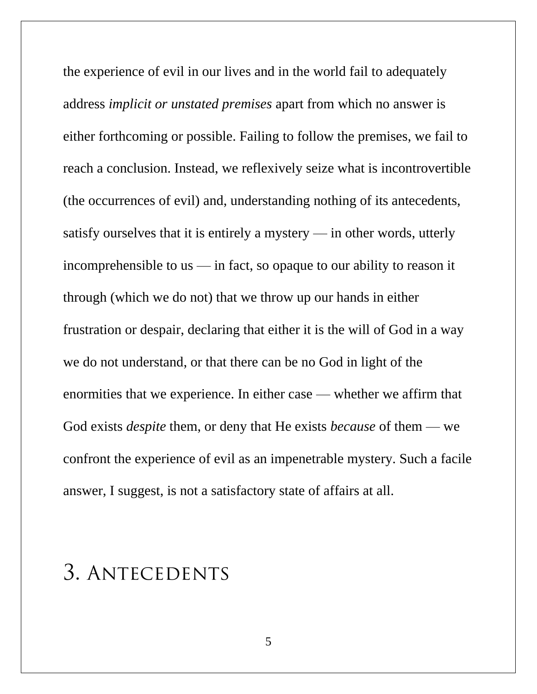the experience of evil in our lives and in the world fail to adequately address *implicit or unstated premises* apart from which no answer is either forthcoming or possible. Failing to follow the premises, we fail to reach a conclusion. Instead, we reflexively seize what is incontrovertible (the occurrences of evil) and, understanding nothing of its antecedents, satisfy ourselves that it is entirely a mystery — in other words, utterly incomprehensible to us — in fact, so opaque to our ability to reason it through (which we do not) that we throw up our hands in either frustration or despair, declaring that either it is the will of God in a way we do not understand, or that there can be no God in light of the enormities that we experience. In either case — whether we affirm that God exists *despite* them, or deny that He exists *because* of them — we confront the experience of evil as an impenetrable mystery. Such a facile answer, I suggest, is not a satisfactory state of affairs at all.

## **3. Antecedents**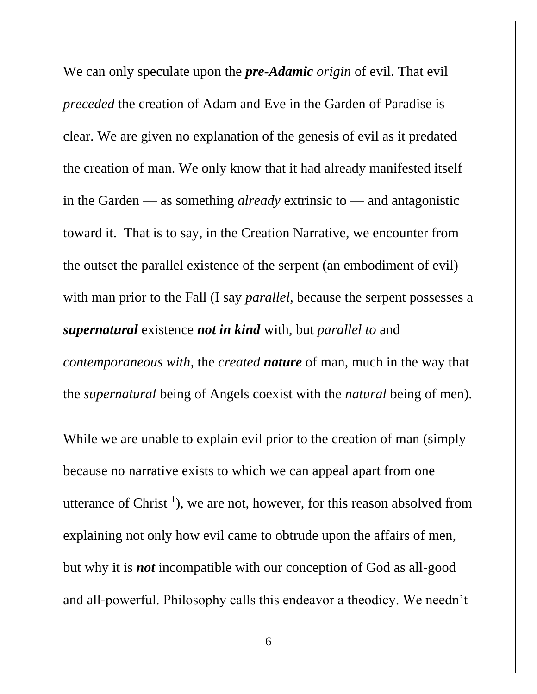We can only speculate upon the *pre-Adamic origin* of evil. That evil *preceded* the creation of Adam and Eve in the Garden of Paradise is clear. We are given no explanation of the genesis of evil as it predated the creation of man. We only know that it had already manifested itself in the Garden — as something *already* extrinsic to — and antagonistic toward it. That is to say, in the Creation Narrative, we encounter from the outset the parallel existence of the serpent (an embodiment of evil) with man prior to the Fall (I say *parallel*, because the serpent possesses a *supernatural* existence *not in kind* with, but *parallel to* and *contemporaneous with*, the *created nature* of man, much in the way that the *supernatural* being of Angels coexist with the *natural* being of men).

While we are unable to explain evil prior to the creation of man (simply because no narrative exists to which we can appeal apart from one utterance of Christ<sup>1</sup>), we are not, however, for this reason absolved from explaining not only how evil came to obtrude upon the affairs of men, but why it is *not* incompatible with our conception of God as all-good and all-powerful. Philosophy calls this endeavor a theodicy. We needn't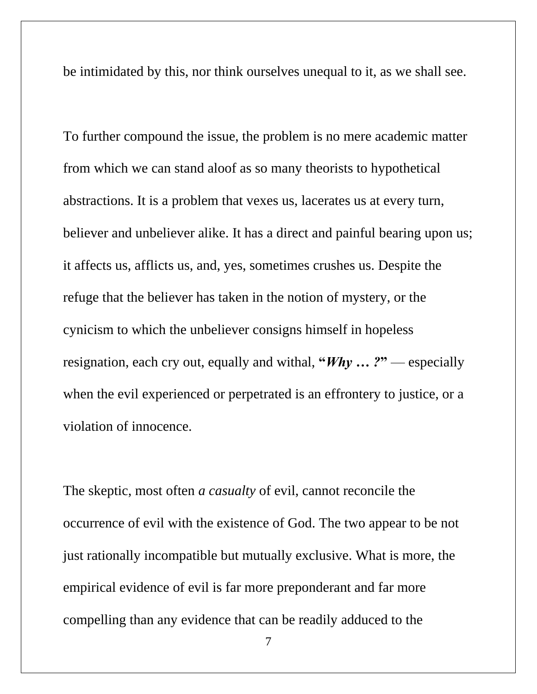be intimidated by this, nor think ourselves unequal to it, as we shall see.

To further compound the issue, the problem is no mere academic matter from which we can stand aloof as so many theorists to hypothetical abstractions. It is a problem that vexes us, lacerates us at every turn, believer and unbeliever alike. It has a direct and painful bearing upon us; it affects us, afflicts us, and, yes, sometimes crushes us. Despite the refuge that the believer has taken in the notion of mystery, or the cynicism to which the unbeliever consigns himself in hopeless resignation, each cry out, equally and withal, **"***Why … ?***"** — especially when the evil experienced or perpetrated is an effrontery to justice, or a violation of innocence.

The skeptic, most often *a casualty* of evil, cannot reconcile the occurrence of evil with the existence of God. The two appear to be not just rationally incompatible but mutually exclusive. What is more, the empirical evidence of evil is far more preponderant and far more compelling than any evidence that can be readily adduced to the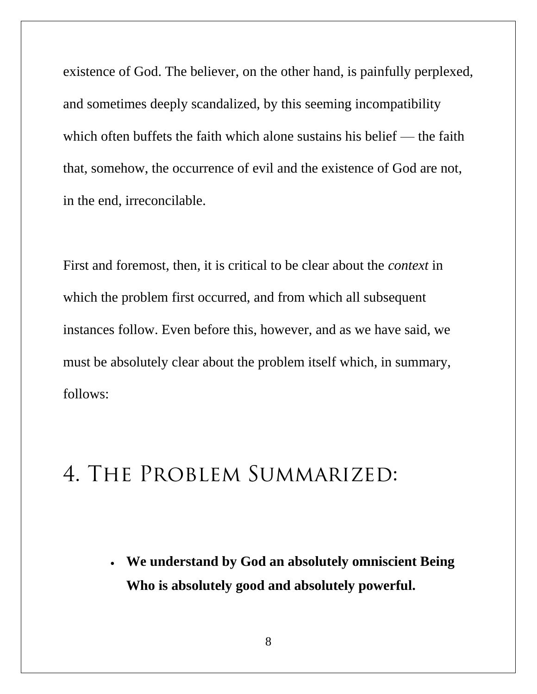existence of God. The believer, on the other hand, is painfully perplexed, and sometimes deeply scandalized, by this seeming incompatibility which often buffets the faith which alone sustains his belief — the faith that, somehow, the occurrence of evil and the existence of God are not, in the end, irreconcilable.

First and foremost, then, it is critical to be clear about the *context* in which the problem first occurred, and from which all subsequent instances follow. Even before this, however, and as we have said, we must be absolutely clear about the problem itself which, in summary, follows:

### **4. The Problem Summarized:**

• **We understand by God an absolutely omniscient Being Who is absolutely good and absolutely powerful.**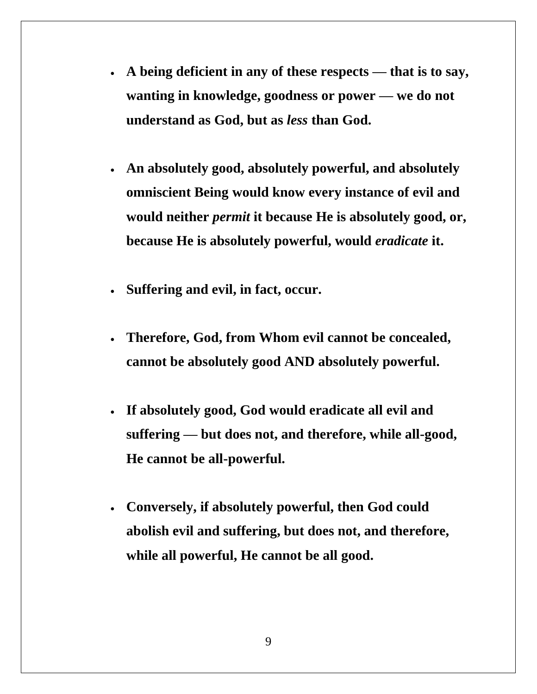- **A being deficient in any of these respects — that is to say, wanting in knowledge, goodness or power — we do not understand as God, but as** *less* **than God.**
- **An absolutely good, absolutely powerful, and absolutely omniscient Being would know every instance of evil and would neither** *permit* **it because He is absolutely good, or, because He is absolutely powerful, would** *eradicate* **it.**
- **Suffering and evil, in fact, occur.**
- **Therefore, God, from Whom evil cannot be concealed, cannot be absolutely good AND absolutely powerful.**
- **If absolutely good, God would eradicate all evil and suffering — but does not, and therefore, while all-good, He cannot be all-powerful.**
- **Conversely, if absolutely powerful, then God could abolish evil and suffering, but does not, and therefore, while all powerful, He cannot be all good.**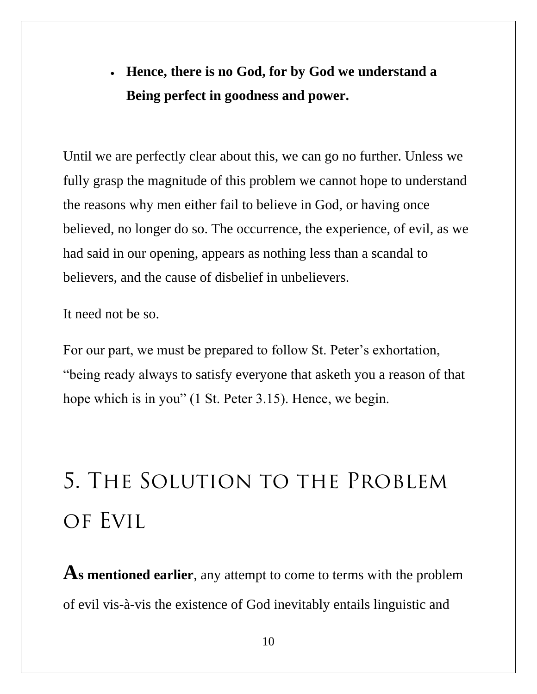#### • **Hence, there is no God, for by God we understand a Being perfect in goodness and power.**

Until we are perfectly clear about this, we can go no further. Unless we fully grasp the magnitude of this problem we cannot hope to understand the reasons why men either fail to believe in God, or having once believed, no longer do so. The occurrence, the experience, of evil, as we had said in our opening, appears as nothing less than a scandal to believers, and the cause of disbelief in unbelievers.

It need not be so.

For our part, we must be prepared to follow St. Peter's exhortation, "being ready always to satisfy everyone that asketh you a reason of that hope which is in you" (1 St. Peter 3.15). Hence, we begin.

# **5. The Solution to the Problem of Evil**

**As mentioned earlier**, any attempt to come to terms with the problem of evil vis-à-vis the existence of God inevitably entails linguistic and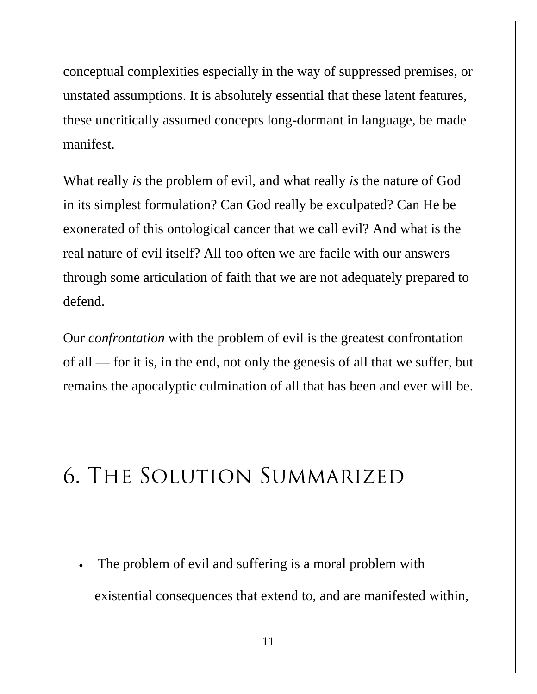conceptual complexities especially in the way of suppressed premises, or unstated assumptions. It is absolutely essential that these latent features, these uncritically assumed concepts long-dormant in language, be made manifest.

What really *is* the problem of evil, and what really *is* the nature of God in its simplest formulation? Can God really be exculpated? Can He be exonerated of this ontological cancer that we call evil? And what is the real nature of evil itself? All too often we are facile with our answers through some articulation of faith that we are not adequately prepared to defend.

Our *confrontation* with the problem of evil is the greatest confrontation of all — for it is, in the end, not only the genesis of all that we suffer, but remains the apocalyptic culmination of all that has been and ever will be.

## **6. The Solution Summarized**

The problem of evil and suffering is a moral problem with existential consequences that extend to, and are manifested within,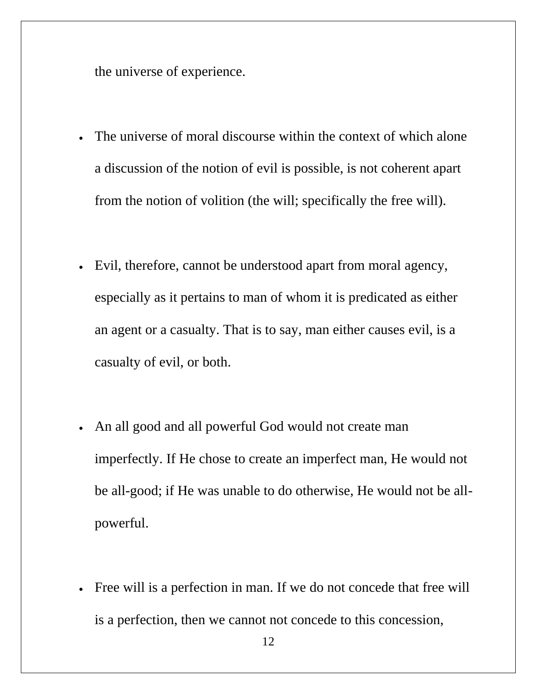the universe of experience.

- The universe of moral discourse within the context of which alone a discussion of the notion of evil is possible, is not coherent apart from the notion of volition (the will; specifically the free will).
- Evil, therefore, cannot be understood apart from moral agency, especially as it pertains to man of whom it is predicated as either an agent or a casualty. That is to say, man either causes evil, is a casualty of evil, or both.
- An all good and all powerful God would not create man imperfectly. If He chose to create an imperfect man, He would not be all-good; if He was unable to do otherwise, He would not be allpowerful.
- Free will is a perfection in man. If we do not concede that free will is a perfection, then we cannot not concede to this concession,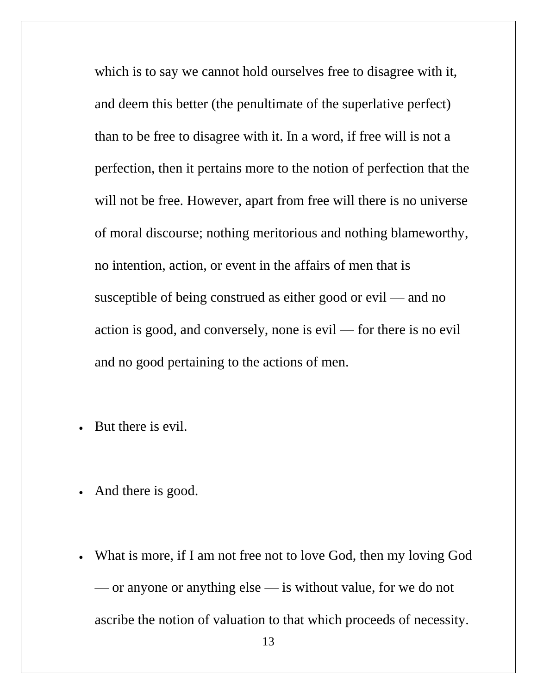which is to say we cannot hold ourselves free to disagree with it, and deem this better (the penultimate of the superlative perfect) than to be free to disagree with it. In a word, if free will is not a perfection, then it pertains more to the notion of perfection that the will not be free. However, apart from free will there is no universe of moral discourse; nothing meritorious and nothing blameworthy, no intention, action, or event in the affairs of men that is susceptible of being construed as either good or evil — and no action is good, and conversely, none is evil — for there is no evil and no good pertaining to the actions of men.

- But there is evil.
- And there is good.
- What is more, if I am not free not to love God, then my loving God — or anyone or anything else — is without value, for we do not ascribe the notion of valuation to that which proceeds of necessity.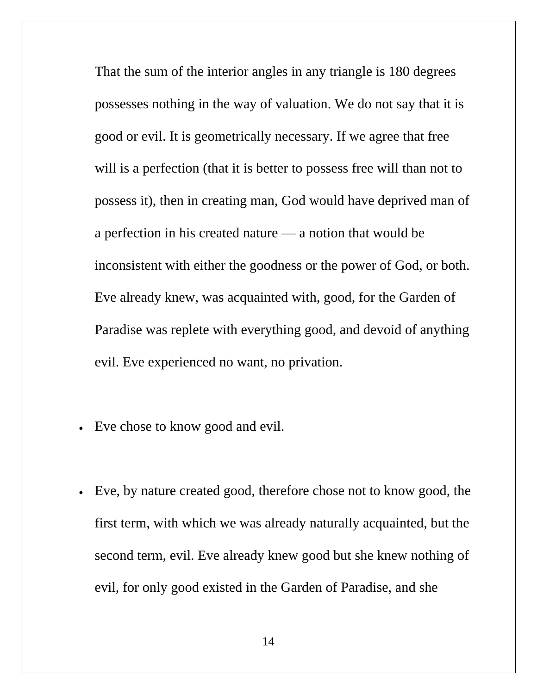That the sum of the interior angles in any triangle is 180 degrees possesses nothing in the way of valuation. We do not say that it is good or evil. It is geometrically necessary. If we agree that free will is a perfection (that it is better to possess free will than not to possess it), then in creating man, God would have deprived man of a perfection in his created nature — a notion that would be inconsistent with either the goodness or the power of God, or both. Eve already knew, was acquainted with, good, for the Garden of Paradise was replete with everything good, and devoid of anything evil. Eve experienced no want, no privation.

- Eve chose to know good and evil.
- Eve, by nature created good, therefore chose not to know good, the first term, with which we was already naturally acquainted, but the second term, evil. Eve already knew good but she knew nothing of evil, for only good existed in the Garden of Paradise, and she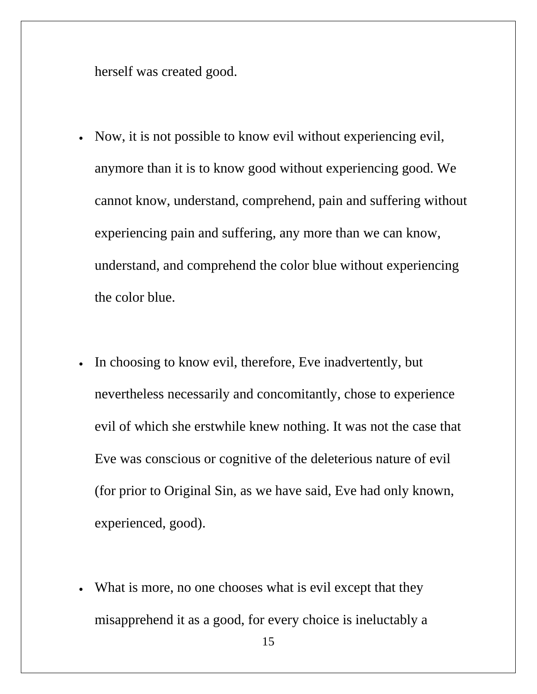herself was created good.

- Now, it is not possible to know evil without experiencing evil, anymore than it is to know good without experiencing good. We cannot know, understand, comprehend, pain and suffering without experiencing pain and suffering, any more than we can know, understand, and comprehend the color blue without experiencing the color blue.
- In choosing to know evil, therefore, Eve inadvertently, but nevertheless necessarily and concomitantly, chose to experience evil of which she erstwhile knew nothing. It was not the case that Eve was conscious or cognitive of the deleterious nature of evil (for prior to Original Sin, as we have said, Eve had only known, experienced, good).
- What is more, no one chooses what is evil except that they misapprehend it as a good, for every choice is ineluctably a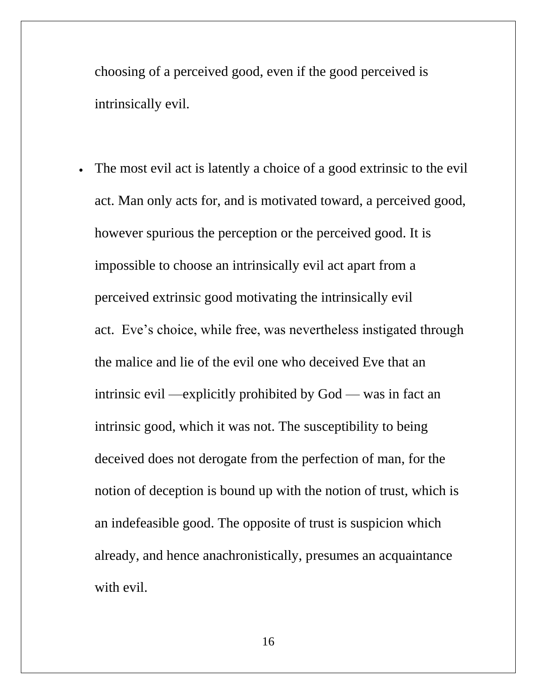choosing of a perceived good, even if the good perceived is intrinsically evil.

The most evil act is latently a choice of a good extrinsic to the evil act. Man only acts for, and is motivated toward, a perceived good, however spurious the perception or the perceived good. It is impossible to choose an intrinsically evil act apart from a perceived extrinsic good motivating the intrinsically evil act. Eve's choice, while free, was nevertheless instigated through the malice and lie of the evil one who deceived Eve that an intrinsic evil —explicitly prohibited by God — was in fact an intrinsic good, which it was not. The susceptibility to being deceived does not derogate from the perfection of man, for the notion of deception is bound up with the notion of trust, which is an indefeasible good. The opposite of trust is suspicion which already, and hence anachronistically, presumes an acquaintance with evil.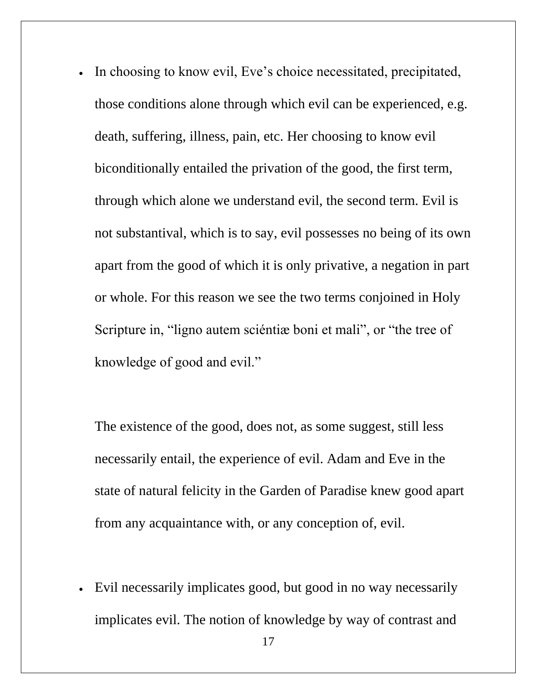In choosing to know evil, Eve's choice necessitated, precipitated, those conditions alone through which evil can be experienced, e.g. death, suffering, illness, pain, etc. Her choosing to know evil biconditionally entailed the privation of the good, the first term, through which alone we understand evil, the second term. Evil is not substantival, which is to say, evil possesses no being of its own apart from the good of which it is only privative, a negation in part or whole. For this reason we see the two terms conjoined in Holy Scripture in, "ligno autem sciéntiæ boni et mali", or "the tree of knowledge of good and evil."

The existence of the good, does not, as some suggest, still less necessarily entail, the experience of evil. Adam and Eve in the state of natural felicity in the Garden of Paradise knew good apart from any acquaintance with, or any conception of, evil.

• Evil necessarily implicates good, but good in no way necessarily implicates evil. The notion of knowledge by way of contrast and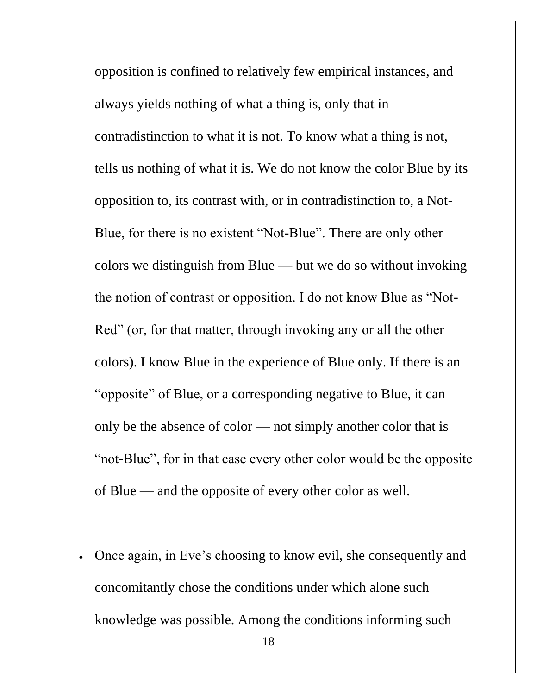opposition is confined to relatively few empirical instances, and always yields nothing of what a thing is, only that in contradistinction to what it is not. To know what a thing is not, tells us nothing of what it is. We do not know the color Blue by its opposition to, its contrast with, or in contradistinction to, a Not-Blue, for there is no existent "Not-Blue". There are only other colors we distinguish from Blue — but we do so without invoking the notion of contrast or opposition. I do not know Blue as "Not-Red" (or, for that matter, through invoking any or all the other colors). I know Blue in the experience of Blue only. If there is an "opposite" of Blue, or a corresponding negative to Blue, it can only be the absence of color — not simply another color that is "not-Blue", for in that case every other color would be the opposite of Blue — and the opposite of every other color as well.

• Once again, in Eve's choosing to know evil, she consequently and concomitantly chose the conditions under which alone such knowledge was possible. Among the conditions informing such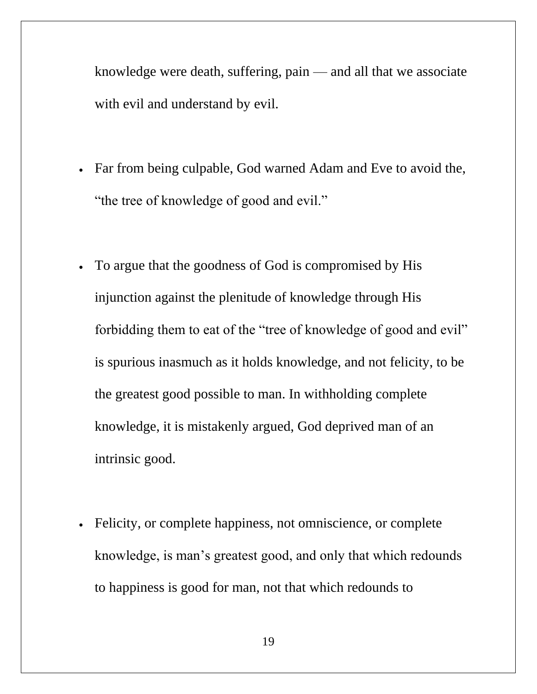knowledge were death, suffering, pain — and all that we associate with evil and understand by evil.

- Far from being culpable, God warned Adam and Eve to avoid the, "the tree of knowledge of good and evil."
- To argue that the goodness of God is compromised by His injunction against the plenitude of knowledge through His forbidding them to eat of the "tree of knowledge of good and evil" is spurious inasmuch as it holds knowledge, and not felicity, to be the greatest good possible to man. In withholding complete knowledge, it is mistakenly argued, God deprived man of an intrinsic good.
- Felicity, or complete happiness, not omniscience, or complete knowledge, is man's greatest good, and only that which redounds to happiness is good for man, not that which redounds to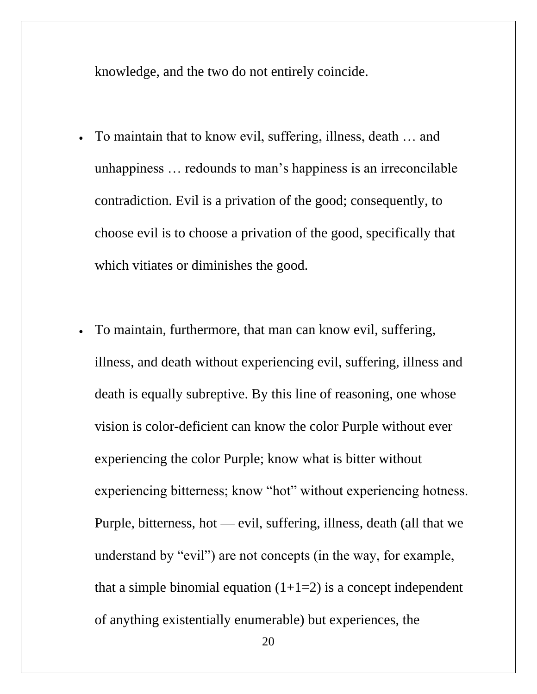knowledge, and the two do not entirely coincide.

- To maintain that to know evil, suffering, illness, death ... and unhappiness … redounds to man's happiness is an irreconcilable contradiction. Evil is a privation of the good; consequently, to choose evil is to choose a privation of the good, specifically that which vitiates or diminishes the good.
- To maintain, furthermore, that man can know evil, suffering, illness, and death without experiencing evil, suffering, illness and death is equally subreptive. By this line of reasoning, one whose vision is color-deficient can know the color Purple without ever experiencing the color Purple; know what is bitter without experiencing bitterness; know "hot" without experiencing hotness. Purple, bitterness, hot — evil, suffering, illness, death (all that we understand by "evil") are not concepts (in the way, for example, that a simple binomial equation  $(1+1=2)$  is a concept independent of anything existentially enumerable) but experiences, the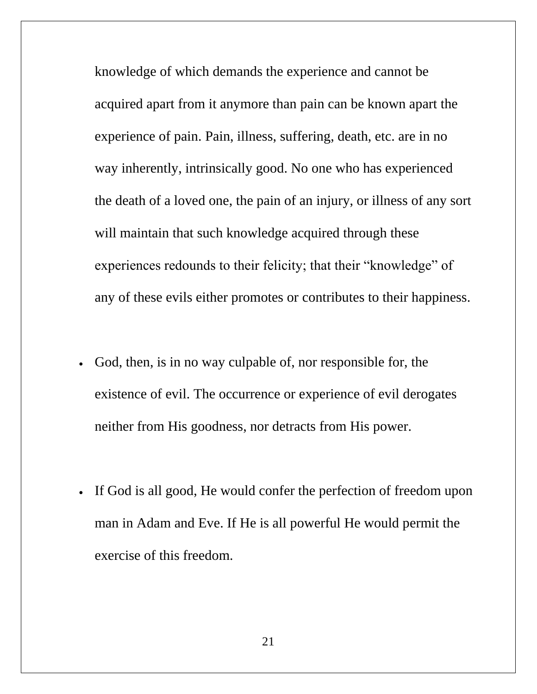knowledge of which demands the experience and cannot be acquired apart from it anymore than pain can be known apart the experience of pain. Pain, illness, suffering, death, etc. are in no way inherently, intrinsically good. No one who has experienced the death of a loved one, the pain of an injury, or illness of any sort will maintain that such knowledge acquired through these experiences redounds to their felicity; that their "knowledge" of any of these evils either promotes or contributes to their happiness.

- God, then, is in no way culpable of, nor responsible for, the existence of evil. The occurrence or experience of evil derogates neither from His goodness, nor detracts from His power.
- If God is all good, He would confer the perfection of freedom upon man in Adam and Eve. If He is all powerful He would permit the exercise of this freedom.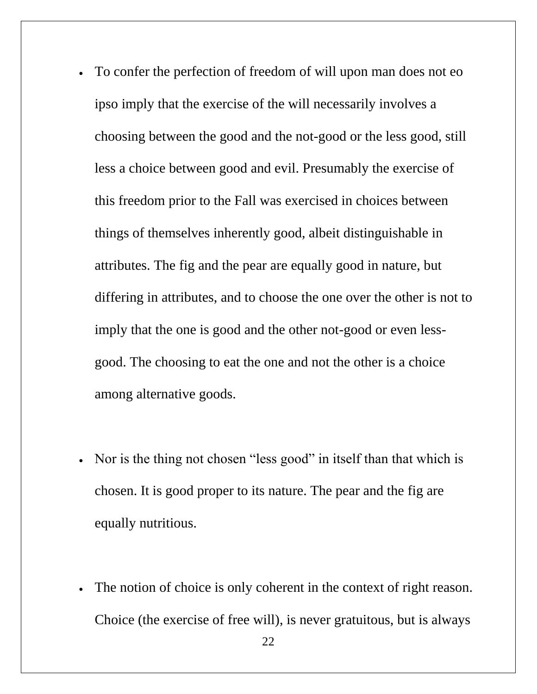- To confer the perfection of freedom of will upon man does not eo ipso imply that the exercise of the will necessarily involves a choosing between the good and the not-good or the less good, still less a choice between good and evil. Presumably the exercise of this freedom prior to the Fall was exercised in choices between things of themselves inherently good, albeit distinguishable in attributes. The fig and the pear are equally good in nature, but differing in attributes, and to choose the one over the other is not to imply that the one is good and the other not-good or even lessgood. The choosing to eat the one and not the other is a choice among alternative goods.
- Nor is the thing not chosen "less good" in itself than that which is chosen. It is good proper to its nature. The pear and the fig are equally nutritious.
- The notion of choice is only coherent in the context of right reason. Choice (the exercise of free will), is never gratuitous, but is always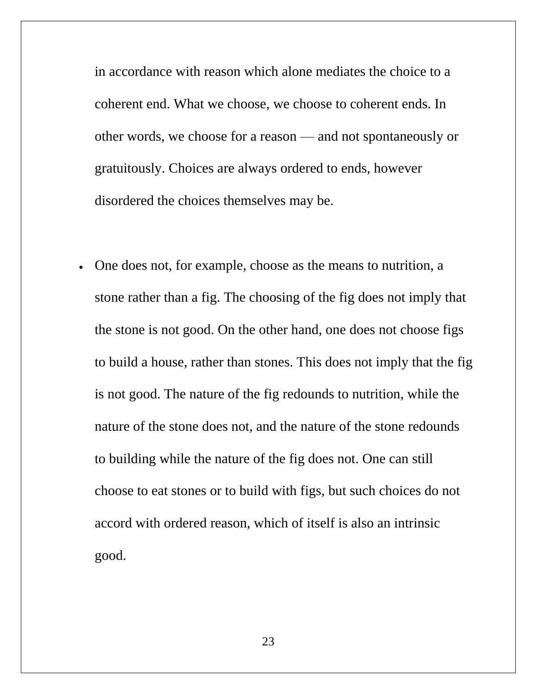in accordance with reason which alone mediates the choice to a coherent end. What we choose, we choose to coherent ends. In other words, we choose for a reason — and not spontaneously or gratuitously. Choices are always ordered to ends, however disordered the choices themselves may be.

• One does not, for example, choose as the means to nutrition, a stone rather than a fig. The choosing of the fig does not imply that the stone is not good. On the other hand, one does not choose figs to build a house, rather than stones. This does not imply that the fig is not good. The nature of the fig redounds to nutrition, while the nature of the stone does not, and the nature of the stone redounds to building while the nature of the fig does not. One can still choose to eat stones or to build with figs, but such choices do not accord with ordered reason, which of itself is also an intrinsic good.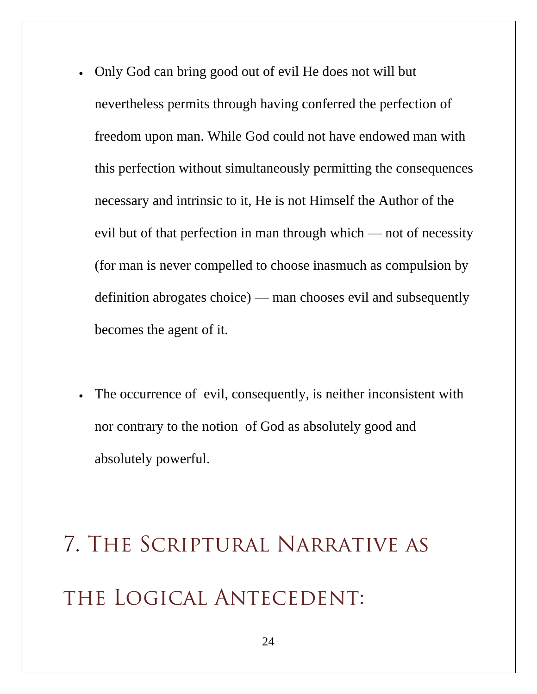- Only God can bring good out of evil He does not will but nevertheless permits through having conferred the perfection of freedom upon man. While God could not have endowed man with this perfection without simultaneously permitting the consequences necessary and intrinsic to it, He is not Himself the Author of the evil but of that perfection in man through which — not of necessity (for man is never compelled to choose inasmuch as compulsion by definition abrogates choice) — man chooses evil and subsequently becomes the agent of it.
- The occurrence of evil, consequently, is neither inconsistent with nor contrary to the notion of God as absolutely good and absolutely powerful.

# **7. The Scriptural Narrative as the Logical Antecedent:**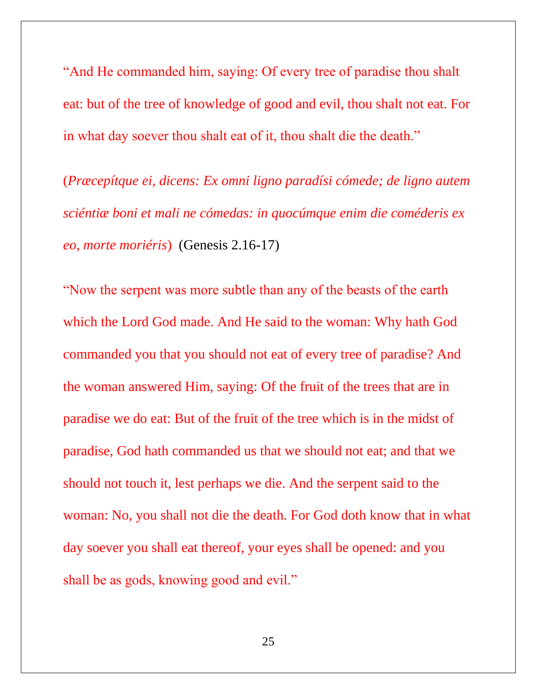"And He commanded him, saying: Of every tree of paradise thou shalt eat: but of the tree of knowledge of good and evil, thou shalt not eat. For in what day soever thou shalt eat of it, thou shalt die the death."

(*Præcepítque ei, dicens: Ex omni ligno paradísi cómede; de ligno autem sciéntiæ boni et mali ne cómedas: in quocúmque enim die coméderis ex eo, morte moriéris*) (Genesis 2.16-17)

"Now the serpent was more subtle than any of the beasts of the earth which the Lord God made. And He said to the woman: Why hath God commanded you that you should not eat of every tree of paradise? And the woman answered Him, saying: Of the fruit of the trees that are in paradise we do eat: But of the fruit of the tree which is in the midst of paradise, God hath commanded us that we should not eat; and that we should not touch it, lest perhaps we die. And the serpent said to the woman: No, you shall not die the death. For God doth know that in what day soever you shall eat thereof, your eyes shall be opened: and you shall be as gods, knowing good and evil."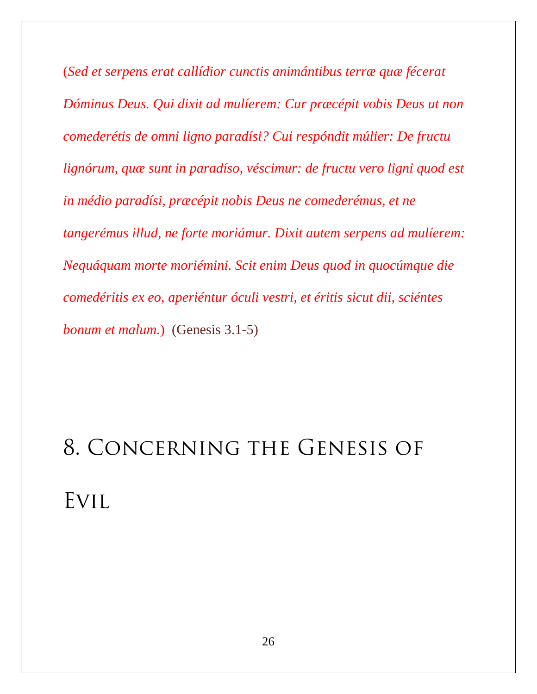(*Sed et serpens erat callídior cunctis animántibus terræ quæ fécerat Dóminus Deus. Qui dixit ad mulíerem: Cur præcépit vobis Deus ut non comederétis de omni ligno paradísi? Cui respóndit múlier: De fructu lignórum, quæ sunt in paradíso, véscimur: de fructu vero ligni quod est in médio paradísi, præcépit nobis Deus ne comederémus, et ne tangerémus illud, ne forte moriámur. Dixit autem serpens ad mulíerem: Nequáquam morte moriémini. Scit enim Deus quod in quocúmque die comedéritis ex eo, aperiéntur óculi vestri, et éritis sicut dii, sciéntes bonum et malum.*) (Genesis 3.1-5)

# **8. Concerning the Genesis of Evil**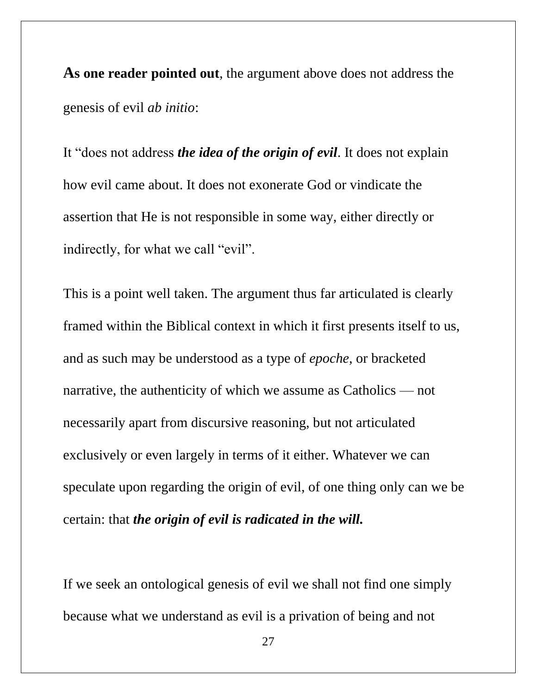**As one reader pointed out**, the argument above does not address the genesis of evil *ab initio*:

It "does not address *the idea of the origin of evil*. It does not explain how evil came about. It does not exonerate God or vindicate the assertion that He is not responsible in some way, either directly or indirectly, for what we call "evil".

This is a point well taken. The argument thus far articulated is clearly framed within the Biblical context in which it first presents itself to us, and as such may be understood as a type of *epoche*, or bracketed narrative, the authenticity of which we assume as Catholics — not necessarily apart from discursive reasoning, but not articulated exclusively or even largely in terms of it either. Whatever we can speculate upon regarding the origin of evil, of one thing only can we be certain: that *the origin of evil is radicated in the will.*

If we seek an ontological genesis of evil we shall not find one simply because what we understand as evil is a privation of being and not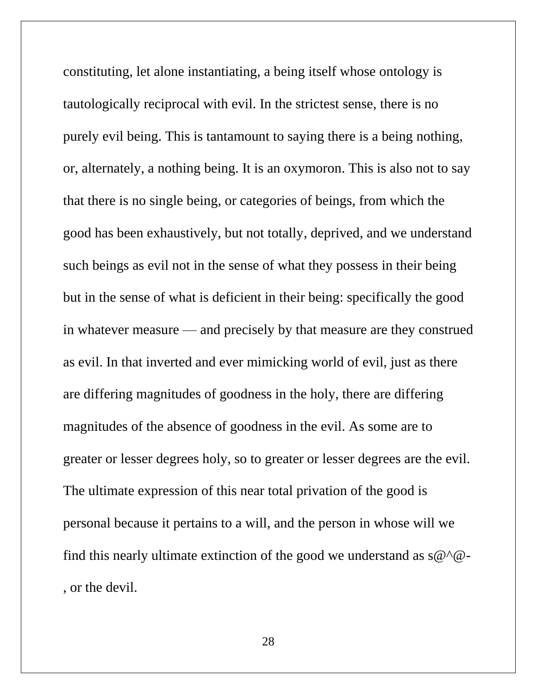constituting, let alone instantiating, a being itself whose ontology is tautologically reciprocal with evil. In the strictest sense, there is no purely evil being. This is tantamount to saying there is a being nothing, or, alternately, a nothing being. It is an oxymoron. This is also not to say that there is no single being, or categories of beings, from which the good has been exhaustively, but not totally, deprived, and we understand such beings as evil not in the sense of what they possess in their being but in the sense of what is deficient in their being: specifically the good in whatever measure — and precisely by that measure are they construed as evil. In that inverted and ever mimicking world of evil, just as there are differing magnitudes of goodness in the holy, there are differing magnitudes of the absence of goodness in the evil. As some are to greater or lesser degrees holy, so to greater or lesser degrees are the evil. The ultimate expression of this near total privation of the good is personal because it pertains to a will, and the person in whose will we find this nearly ultimate extinction of the good we understand as  $s@^{\wedge}@$ -, or the devil.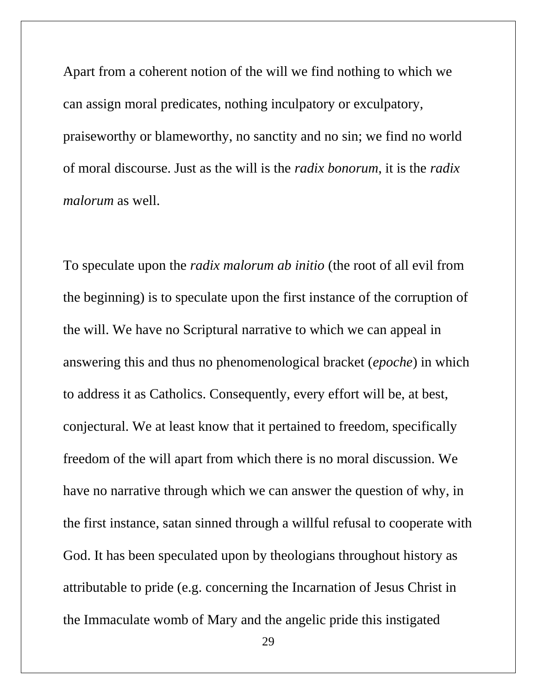Apart from a coherent notion of the will we find nothing to which we can assign moral predicates, nothing inculpatory or exculpatory, praiseworthy or blameworthy, no sanctity and no sin; we find no world of moral discourse. Just as the will is the *radix bonorum*, it is the *radix malorum* as well.

To speculate upon the *radix malorum ab initio* (the root of all evil from the beginning) is to speculate upon the first instance of the corruption of the will. We have no Scriptural narrative to which we can appeal in answering this and thus no phenomenological bracket (*epoche*) in which to address it as Catholics. Consequently, every effort will be, at best, conjectural. We at least know that it pertained to freedom, specifically freedom of the will apart from which there is no moral discussion. We have no narrative through which we can answer the question of why, in the first instance, satan sinned through a willful refusal to cooperate with God. It has been speculated upon by theologians throughout history as attributable to pride (e.g. concerning the Incarnation of Jesus Christ in the Immaculate womb of Mary and the angelic pride this instigated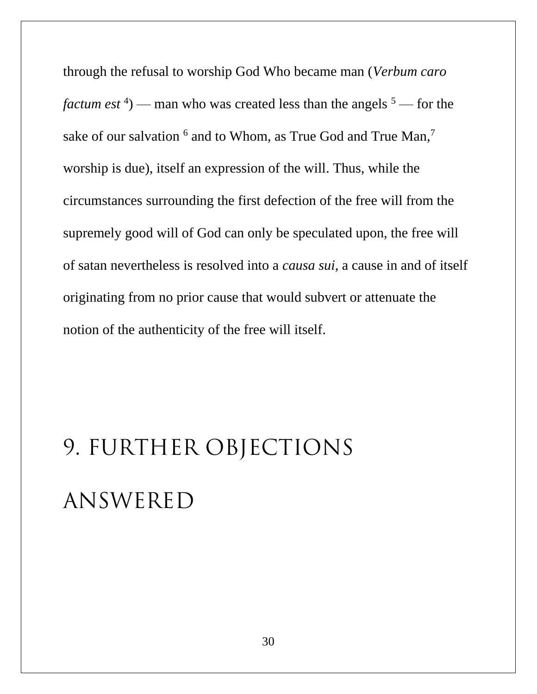through the refusal to worship God Who became man (*Verbum caro factum est*<sup>4</sup> $)$  — man who was created less than the angels<sup>5</sup> — for the sake of our salvation <sup>6</sup> and to Whom, as True God and True Man,<sup>7</sup> worship is due), itself an expression of the will. Thus, while the circumstances surrounding the first defection of the free will from the supremely good will of God can only be speculated upon, the free will of satan nevertheless is resolved into a *causa sui*, a cause in and of itself originating from no prior cause that would subvert or attenuate the notion of the authenticity of the free will itself.

# **9. FURTHER OBJECTIONS ANSWERED**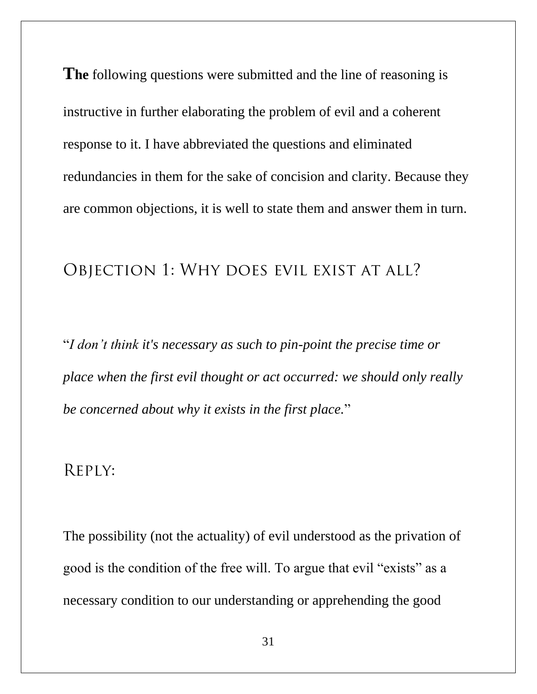**The** following questions were submitted and the line of reasoning is instructive in further elaborating the problem of evil and a coherent response to it. I have abbreviated the questions and eliminated redundancies in them for the sake of concision and clarity. Because they are common objections, it is well to state them and answer them in turn.

#### **Objection 1**: **Why does evil exist at all?**

"*I don't think it's necessary as such to pin-point the precise time or place when the first evil thought or act occurred: we should only really be concerned about why it exists in the first place.*"

#### **Reply:**

The possibility (not the actuality) of evil understood as the privation of good is the condition of the free will. To argue that evil "exists" as a necessary condition to our understanding or apprehending the good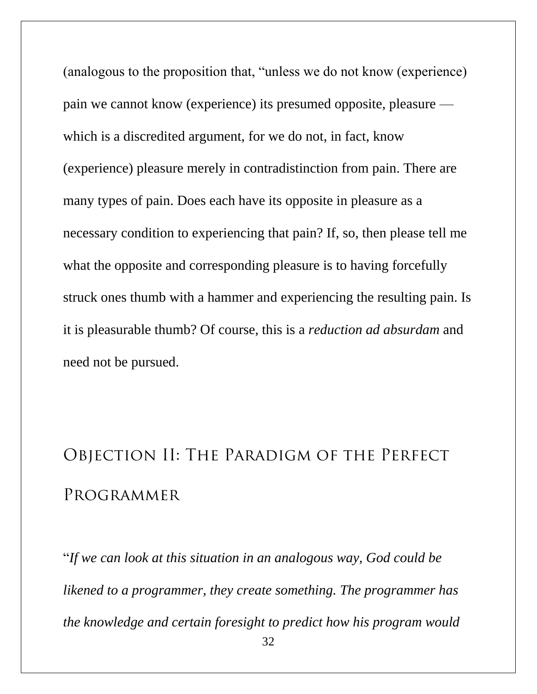(analogous to the proposition that, "unless we do not know (experience) pain we cannot know (experience) its presumed opposite, pleasure which is a discredited argument, for we do not, in fact, know (experience) pleasure merely in contradistinction from pain. There are many types of pain. Does each have its opposite in pleasure as a necessary condition to experiencing that pain? If, so, then please tell me what the opposite and corresponding pleasure is to having forcefully struck ones thumb with a hammer and experiencing the resulting pain. Is it is pleasurable thumb? Of course, this is a *reduction ad absurdam* and need not be pursued.

## **Objection II: The Paradigm of the Perfect Programmer**

"*If we can look at this situation in an analogous way, God could be likened to a programmer, they create something. The programmer has the knowledge and certain foresight to predict how his program would*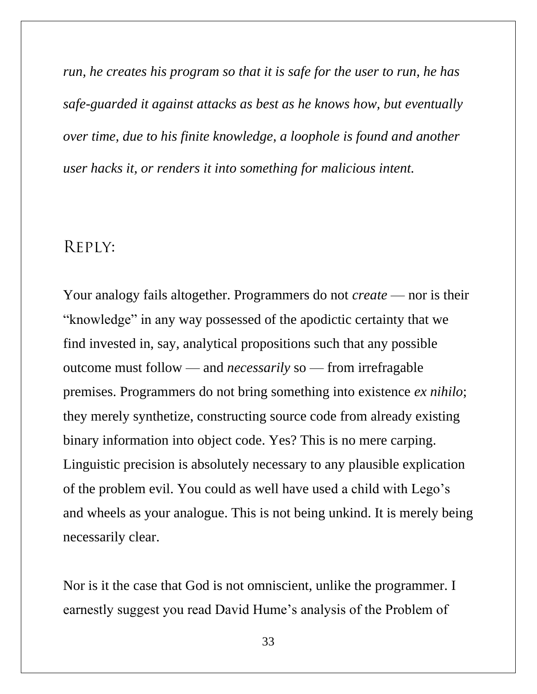*run, he creates his program so that it is safe for the user to run, he has safe-guarded it against attacks as best as he knows how, but eventually over time, due to his finite knowledge, a loophole is found and another user hacks it, or renders it into something for malicious intent.*

#### **Reply:**

Your analogy fails altogether. Programmers do not *create* — nor is their "knowledge" in any way possessed of the apodictic certainty that we find invested in, say, analytical propositions such that any possible outcome must follow — and *necessarily* so — from irrefragable premises. Programmers do not bring something into existence *ex nihilo*; they merely synthetize, constructing source code from already existing binary information into object code. Yes? This is no mere carping. Linguistic precision is absolutely necessary to any plausible explication of the problem evil. You could as well have used a child with Lego's and wheels as your analogue. This is not being unkind. It is merely being necessarily clear.

Nor is it the case that God is not omniscient, unlike the programmer. I earnestly suggest you read David Hume's analysis of the Problem of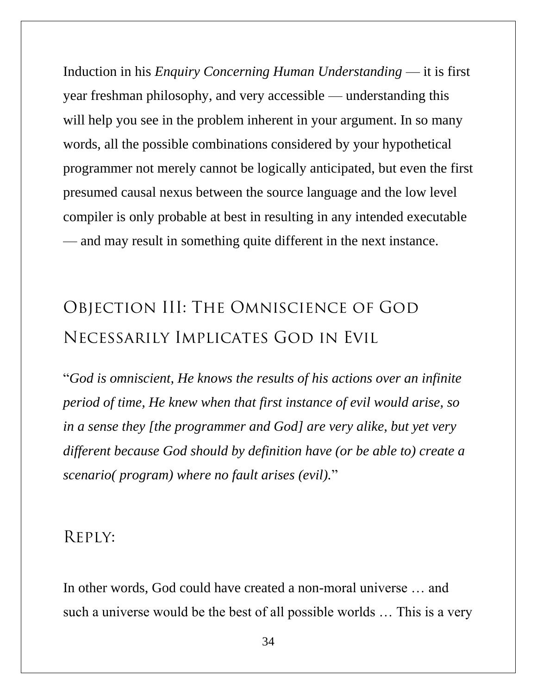Induction in his *Enquiry Concerning Human Understanding* — it is first year freshman philosophy, and very accessible — understanding this will help you see in the problem inherent in your argument. In so many words, all the possible combinations considered by your hypothetical programmer not merely cannot be logically anticipated, but even the first presumed causal nexus between the source language and the low level compiler is only probable at best in resulting in any intended executable — and may result in something quite different in the next instance.

### **Objection III: The Omniscience of God Necessarily Implicates God in Evil**

"*God is omniscient, He knows the results of his actions over an infinite period of time, He knew when that first instance of evil would arise, so in a sense they [the programmer and God] are very alike, but yet very different because God should by definition have (or be able to) create a scenario( program) where no fault arises (evil).*"

#### **Reply:**

In other words, God could have created a non-moral universe … and such a universe would be the best of all possible worlds … This is a very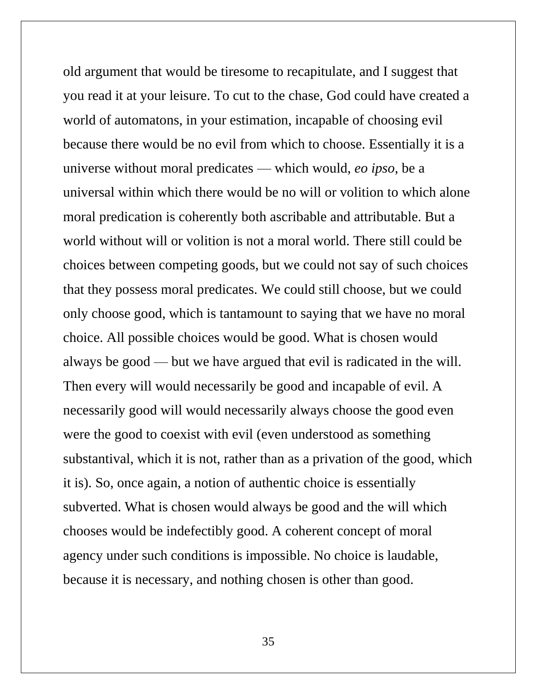old argument that would be tiresome to recapitulate, and I suggest that you read it at your leisure. To cut to the chase, God could have created a world of automatons, in your estimation, incapable of choosing evil because there would be no evil from which to choose. Essentially it is a universe without moral predicates — which would, *eo ipso*, be a universal within which there would be no will or volition to which alone moral predication is coherently both ascribable and attributable. But a world without will or volition is not a moral world. There still could be choices between competing goods, but we could not say of such choices that they possess moral predicates. We could still choose, but we could only choose good, which is tantamount to saying that we have no moral choice. All possible choices would be good. What is chosen would always be good — but we have argued that evil is radicated in the will. Then every will would necessarily be good and incapable of evil. A necessarily good will would necessarily always choose the good even were the good to coexist with evil (even understood as something substantival, which it is not, rather than as a privation of the good, which it is). So, once again, a notion of authentic choice is essentially subverted. What is chosen would always be good and the will which chooses would be indefectibly good. A coherent concept of moral agency under such conditions is impossible. No choice is laudable, because it is necessary, and nothing chosen is other than good.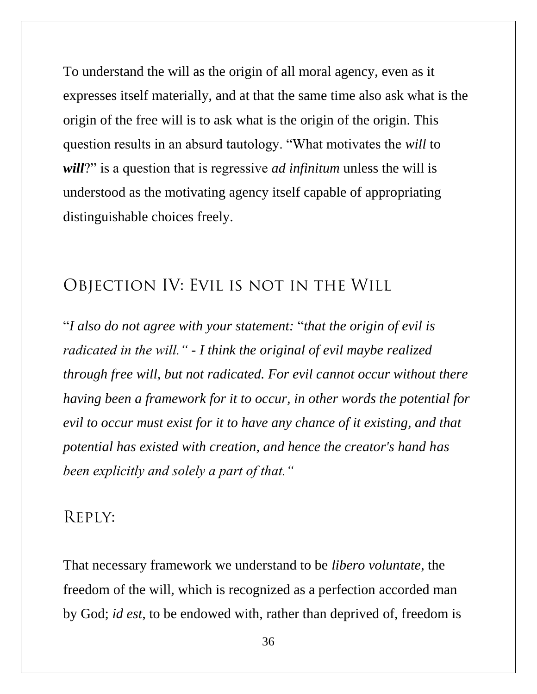To understand the will as the origin of all moral agency, even as it expresses itself materially, and at that the same time also ask what is the origin of the free will is to ask what is the origin of the origin. This question results in an absurd tautology. "What motivates the *will* to *will*?" is a question that is regressive *ad infinitum* unless the will is understood as the motivating agency itself capable of appropriating distinguishable choices freely.

#### **Objection IV: Evil is not in the Will**

"*I also do not agree with your statement:* "*that the origin of evil is radicated in the will." - I think the original of evil maybe realized through free will, but not radicated. For evil cannot occur without there having been a framework for it to occur, in other words the potential for evil to occur must exist for it to have any chance of it existing, and that potential has existed with creation, and hence the creator's hand has been explicitly and solely a part of that."* 

#### **Reply:**

That necessary framework we understand to be *libero voluntate*, the freedom of the will, which is recognized as a perfection accorded man by God; *id est*, to be endowed with, rather than deprived of, freedom is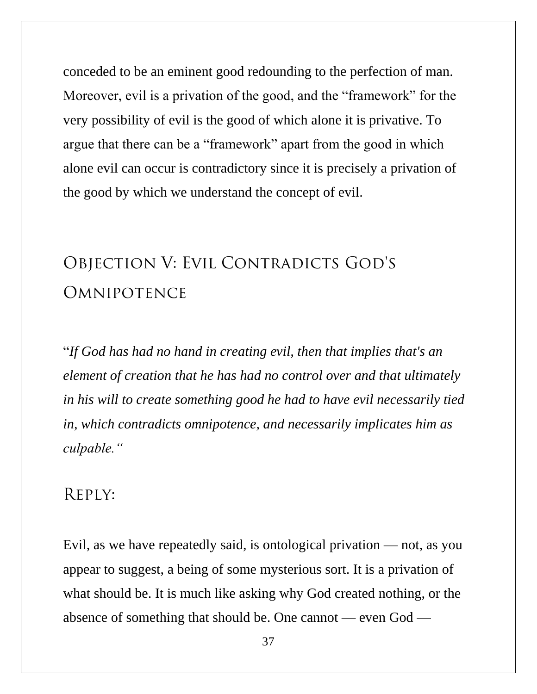conceded to be an eminent good redounding to the perfection of man. Moreover, evil is a privation of the good, and the "framework" for the very possibility of evil is the good of which alone it is privative. To argue that there can be a "framework" apart from the good in which alone evil can occur is contradictory since it is precisely a privation of the good by which we understand the concept of evil.

## **Objection V: Evil Contradicts God's Omnipotence**

"*If God has had no hand in creating evil, then that implies that's an element of creation that he has had no control over and that ultimately in his will to create something good he had to have evil necessarily tied in, which contradicts omnipotence, and necessarily implicates him as culpable."*

#### **Reply:**

Evil, as we have repeatedly said, is ontological privation — not, as you appear to suggest, a being of some mysterious sort. It is a privation of what should be. It is much like asking why God created nothing, or the absence of something that should be. One cannot — even God —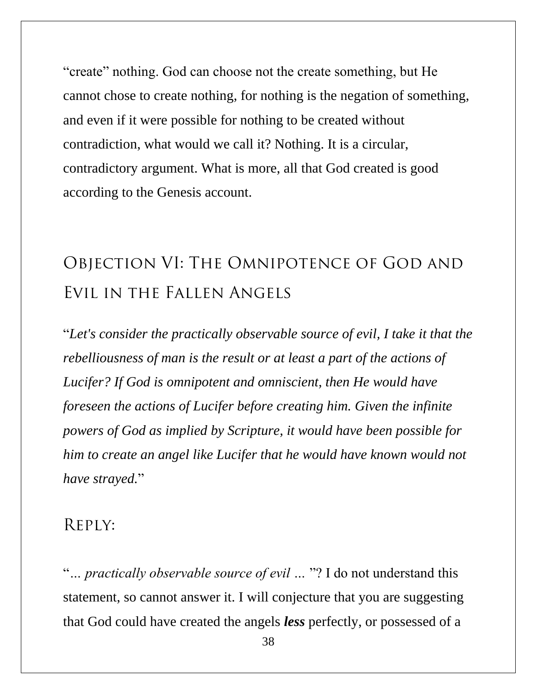"create" nothing. God can choose not the create something, but He cannot chose to create nothing, for nothing is the negation of something, and even if it were possible for nothing to be created without contradiction, what would we call it? Nothing. It is a circular, contradictory argument. What is more, all that God created is good according to the Genesis account.

## **Objection VI: The Omnipotence of God and Evil in the Fallen Angels**

"*Let's consider the practically observable source of evil, I take it that the rebelliousness of man is the result or at least a part of the actions of Lucifer? If God is omnipotent and omniscient, then He would have foreseen the actions of Lucifer before creating him. Given the infinite powers of God as implied by Scripture, it would have been possible for him to create an angel like Lucifer that he would have known would not have strayed.*"

#### **Reply:**

"*… practically observable source of evil …* "? I do not understand this statement, so cannot answer it. I will conjecture that you are suggesting that God could have created the angels *less* perfectly, or possessed of a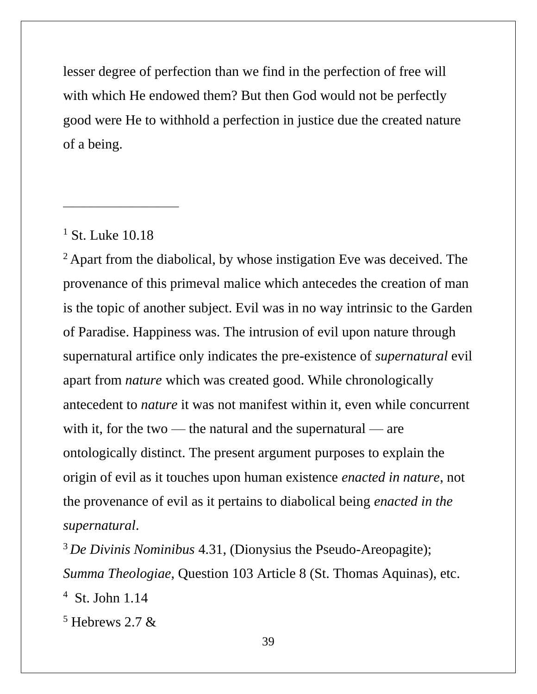lesser degree of perfection than we find in the perfection of free will with which He endowed them? But then God would not be perfectly good were He to withhold a perfection in justice due the created nature of a being.

#### <sup>1</sup> St. Luke 10.18

\_\_\_\_\_\_\_\_\_\_\_\_\_\_\_\_\_\_\_\_\_\_

<sup>2</sup> Apart from the diabolical, by whose instigation Eve was deceived. The provenance of this primeval malice which antecedes the creation of man is the topic of another subject. Evil was in no way intrinsic to the Garden of Paradise. Happiness was. The intrusion of evil upon nature through supernatural artifice only indicates the pre-existence of *supernatural* evil apart from *nature* which was created good. While chronologically antecedent to *nature* it was not manifest within it, even while concurrent with it, for the two — the natural and the supernatural — are ontologically distinct. The present argument purposes to explain the origin of evil as it touches upon human existence *enacted in nature*, not the provenance of evil as it pertains to diabolical being *enacted in the supernatural*.

<sup>3</sup>*De Divinis Nominibus* 4.31, (Dionysius the Pseudo-Areopagite); *Summa Theologiae*, Question 103 Article 8 (St. Thomas Aquinas), etc. <sup>4</sup> St. John 1.14

 $5$  Hebrews 2.7 &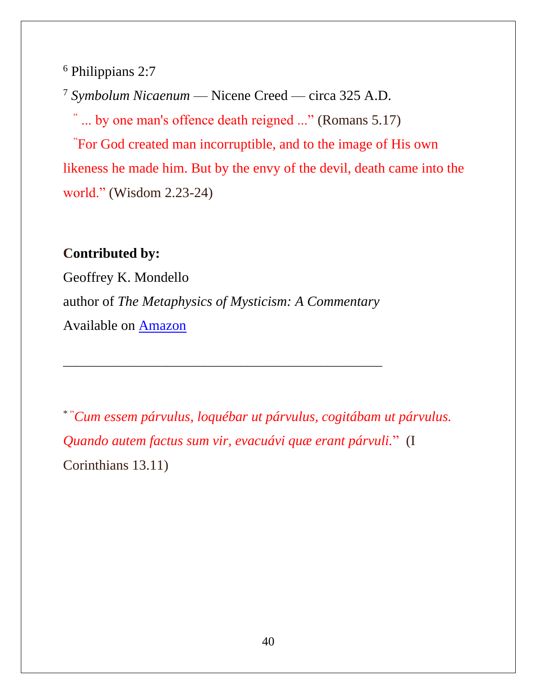<sup>6</sup> Philippians 2:7

<sup>7</sup> *Symbolum Nicaenum* — Nicene Creed — circa 325 A.D.

"... by one man's offence death reigned ..." (Romans 5.17)

"For God created man incorruptible, and to the image of His own likeness he made him. But by the envy of the devil, death came into the world." (Wisdom 2.23-24)

#### **Contributed by:**

Geoffrey K. Mondello author of *The Metaphysics of Mysticism: A Commentary* Available on [Amazon](https://www.amazon.com/Metaphysics-Mysticism-Reason-Revelation-inexorable/dp/1980898596/ref=sr_1_1?ie=UTF8&qid=1524849174&sr=8-1&keywords=geoffrey+K+Mondello)

\_\_\_\_\_\_\_\_\_\_\_\_\_\_\_\_\_\_\_\_\_\_\_\_\_\_\_\_\_\_\_\_\_\_\_\_\_\_\_\_\_\_\_\_\_\_\_\_\_\_\_\_

\* "*Cum essem párvulus, loquébar ut párvulus, cogitábam ut párvulus. Quando autem factus sum vir, evacuávi quæ erant párvuli.*" (I Corinthians 13.11)